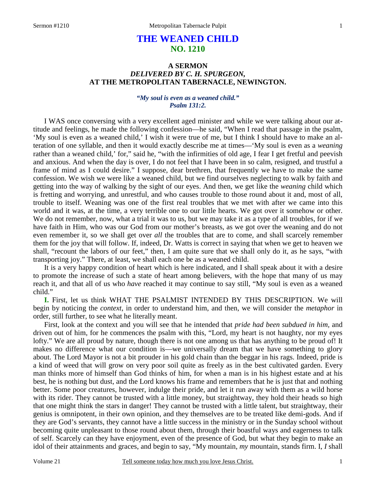# **THE WEANED CHILD NO. 1210**

# **A SERMON**  *DELIVERED BY C. H. SPURGEON,*  **AT THE METROPOLITAN TABERNACLE, NEWINGTON.**

## *"My soul is even as a weaned child." Psalm 131:2.*

I WAS once conversing with a very excellent aged minister and while we were talking about our attitude and feelings, he made the following confession—he said, "When I read that passage in the psalm, 'My soul is even as a weaned child,' I wish it were true of me, but I think I should have to make an alteration of one syllable, and then it would exactly describe me at times—'My soul is even as a *weaning*  rather than a weaned child,' for," said he, "with the infirmities of old age, I fear I get fretful and peevish and anxious. And when the day is over, I do not feel that I have been in so calm, resigned, and trustful a frame of mind as I could desire." I suppose, dear brethren, that frequently we have to make the same confession. We wish we were like a weaned child, but we find ourselves neglecting to walk by faith and getting into the way of walking by the sight of our eyes. And then, we get like the *weaning* child which is fretting and worrying, and unrestful, and who causes trouble to those round about it and, most of all, trouble to itself. Weaning was one of the first real troubles that we met with after we came into this world and it was, at the time, a very terrible one to our little hearts. We got over it somehow or other. We do not remember, now, what a trial it was to us, but we may take it as a type of all troubles, for if we have faith in Him, who was our God from our mother's breasts, as we got over the weaning and do not even remember it, so we shall get over *all* the troubles that are to come, and shall scarcely remember them for the joy that will follow. If, indeed, Dr. Watts is correct in saying that when we get to heaven we shall, "recount the labors of our feet," then, I am quite sure that we shall only do it, as he says, "with transporting joy." There, at least, we shall each one be as a weaned child.

It is a very happy condition of heart which is here indicated, and I shall speak about it with a desire to promote the increase of such a state of heart among believers, with the hope that many of us may reach it, and that all of us who *have* reached it may continue to say still, "My soul is even as a weaned child."

**I.** First, let us think WHAT THE PSALMIST INTENDED BY THIS DESCRIPTION. We will begin by noticing the *context*, in order to understand him, and then, we will consider the *metaphor* in order, still further, to see what he literally meant.

First, look at the context and you will see that he intended that *pride had been subdued in him,* and driven out of him, for he commences the psalm with this, "Lord, my heart is not haughty, nor my eyes lofty." We are all proud by nature, though there is not one among us that has anything to be proud of! It makes no difference what our condition is—we universally dream that we have something to glory about. The Lord Mayor is not a bit prouder in his gold chain than the beggar in his rags. Indeed, pride is a kind of weed that will grow on very poor soil quite as freely as in the best cultivated garden. Every man thinks more of himself than God thinks of him, for when a man is in his highest estate and at his best, he is nothing but dust, and the Lord knows his frame and remembers that he is just that and nothing better. Some poor creatures, however, indulge their pride, and let it run away with them as a wild horse with its rider. They cannot be trusted with a little money, but straightway, they hold their heads so high that one might think the stars in danger! They cannot be trusted with a little talent, but straightway, their genius is omnipotent, in their own opinion, and they themselves are to be treated like demi-gods. And if they are God's servants, they cannot have a little success in the ministry or in the Sunday school without becoming quite unpleasant to those round about them, through their boastful ways and eagerness to talk of self. Scarcely can they have enjoyment, even of the presence of God, but what they begin to make an idol of their attainments and graces, and begin to say, "My mountain, *my* mountain, stands firm. I, *I* shall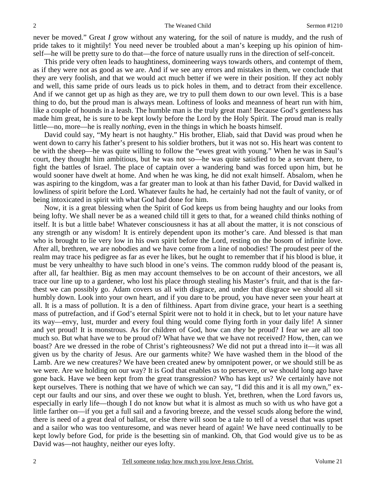never be moved." Great *I* grow without any watering, for the soil of nature is muddy, and the rush of pride takes to it mightily! You need never be troubled about a man's keeping up his opinion of himself—he will be pretty sure to do that—the force of nature usually runs in the direction of self-conceit.

This pride very often leads to haughtiness, domineering ways towards others, and contempt of them, as if they were not as good as we are. And if we see any errors and mistakes in them, we conclude that they are very foolish, and that we would act much better if we were in their position. If they act nobly and well, this same pride of ours leads us to pick holes in them, and to detract from their excellence. And if we cannot get up as high as they are, we try to pull them down to our own level. This is a base thing to do, but the proud man is always mean. Loftiness of looks and meanness of heart run with him, like a couple of hounds in a leash. The humble man is the truly great man! Because God's gentleness has made him great, he is sure to be kept lowly before the Lord by the Holy Spirit. The proud man is really little—no, more—he is really *nothing,* even in the things in which he boasts himself.

David could say, "My heart is not haughty." His brother, Eliab, said that David was proud when he went down to carry his father's present to his soldier brothers, but it was not so. His heart was content to be with the sheep—he was quite willing to follow the "ewes great with young." When he was in Saul's court, they thought him ambitious, but he was not so—he was quite satisfied to be a servant there, to fight the battles of Israel. The place of captain over a wandering band was forced upon him, but he would sooner have dwelt at home. And when he was king, he did not exalt himself. Absalom, when he was aspiring to the kingdom, was a far greater man to look at than his father David, for David walked in lowliness of spirit before the Lord. Whatever faults he had, he certainly had not the fault of vanity, or of being intoxicated in spirit with what God had done for him.

Now, it is a great blessing when the Spirit of God keeps us from being haughty and our looks from being lofty. We shall never be as a weaned child till it gets to that, for a weaned child thinks nothing of itself. It is but a little babe! Whatever consciousness it has at all about the matter, it is not conscious of any strength or any wisdom! It is entirely dependent upon its mother's care. And blessed is that man who is brought to lie very low in his own spirit before the Lord, resting on the bosom of infinite love. After all, brethren, we are nobodies and we have come from a line of nobodies! The proudest peer of the realm may trace his pedigree as far as ever he likes, but he ought to remember that if his blood is blue, it must be very unhealthy to have such blood in one's veins. The common ruddy blood of the peasant is, after all, far healthier. Big as men may account themselves to be on account of their ancestors, we all trace our line up to a gardener, who lost his place through stealing his Master's fruit, and that is the farthest we can possibly go. Adam covers us all with disgrace, and under that disgrace we should all sit humbly down. Look into your own heart, and if you dare to be proud, you have never seen your heart at all. It is a mass of pollution. It is a den of filthiness. Apart from divine grace, your heart is a seething mass of putrefaction, and if God's eternal Spirit were not to hold it in check, but to let your nature have its way—envy, lust, murder and every foul thing would come flying forth in your daily life! A sinner and yet proud! It is monstrous. As for children of God, how can *they* be proud? I fear we are all too much so. But what have we to be proud of? What have we that we have not received? How, then, can we boast? Are we dressed in the robe of Christ's righteousness? We did not put a thread into it—it was all given us by the charity of Jesus. Are our garments white? We have washed them in the blood of the Lamb. Are we new creatures? We have been created anew by omnipotent power, or we should still be as we were. Are we holding on our way? It is God that enables us to persevere, or we should long ago have gone back. Have we been kept from the great transgression? Who has kept us? We certainly have not kept ourselves. There is nothing that we have of which we can say, "I did this and it is all my own," except our faults and our sins, and over these we ought to blush. Yet, brethren, when the Lord favors us, especially in early life—though I do not know but what it is almost as much so with us who have got a little farther on—if you get a full sail and a favoring breeze, and the vessel scuds along before the wind, there is need of a great deal of ballast, or else there will soon be a tale to tell of a vessel that was upset and a sailor who was too venturesome, and was never heard of again! We have need continually to be kept lowly before God, for pride is the besetting sin of mankind. Oh, that God would give us to be as David was—not haughty, neither our eyes lofty.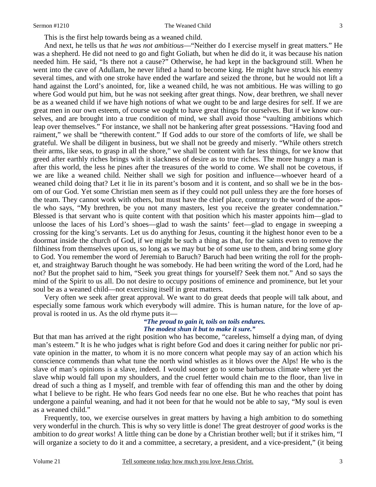This is the first help towards being as a weaned child.

And next, he tells us that *he was not ambitious*—"Neither do I exercise myself in great matters." He was a shepherd. He did not need to go and fight Goliath, but when he did do it, it was because his nation needed him. He said, "Is there not a cause?" Otherwise, he had kept in the background still. When he went into the cave of Adullam, he never lifted a hand to become king. He might have struck his enemy several times, and with one stroke have ended the warfare and seized the throne, but he would not lift a hand against the Lord's anointed, for, like a weaned child, he was not ambitious. He was willing to go where God would put him, but he was not seeking after great things. Now, dear brethren, we shall never be as a weaned child if we have high notions of what we ought to be and large desires for self. If we are great men in our own esteem, of course we ought to have great things for ourselves. But if we know ourselves, and are brought into a true condition of mind, we shall avoid those "vaulting ambitions which leap over themselves." For instance, we shall not be hankering after great possessions. "Having food and raiment," we shall be "therewith content." If God adds to our store of the comforts of life, we shall be grateful. We shall be diligent in business, but we shall not be greedy and miserly. "While others stretch their arms, like seas, to grasp in all the shore," we shall be content with far less things, for we know that greed after earthly riches brings with it slackness of desire as to true riches. The more hungry a man is after this world, the less he pines after the treasures of the world to come. We shall not be covetous, if we are like a weaned child. Neither shall we sigh for position and influence—whoever heard of a weaned child doing that? Let it lie in its parent's bosom and it is content, and so shall we be in the bosom of our God. Yet some Christian men seem as if they could not pull unless they are the fore horses of the team. They cannot work with others, but must have the chief place, contrary to the word of the apostle who says, "My brethren, be you not many masters, lest you receive the greater condemnation." Blessed is that servant who is quite content with that position which his master appoints him—glad to unloose the laces of his Lord's shoes—glad to wash the saints' feet—glad to engage in sweeping a crossing for the king's servants. Let us do anything for Jesus, counting it the highest honor even to be a doormat inside the church of God, if we might be such a thing as that, for the saints even to remove the filthiness from themselves upon us, so long as we may but be of some use to them, and bring some glory to God. You remember the word of Jeremiah to Baruch? Baruch had been writing the roll for the prophet, and straightway Baruch thought he was somebody. He had been writing the word of the Lord, had he not? But the prophet said to him, "Seek you great things for yourself? Seek them not." And so says the mind of the Spirit to us all. Do not desire to occupy positions of eminence and prominence, but let your soul be as a weaned child—not exercising itself in great matters.

Very often we seek after great approval. We want to do great deeds that people will talk about, and especially some famous work which everybody will admire. This is human nature, for the love of approval is rooted in us. As the old rhyme puts it—

#### *"The proud to gain it, toils on toils endures. The modest shun it but to make it sure."*

But that man has arrived at the right position who has become, "careless, himself a dying man, of dying man's esteem." It is he who judges what is right before God and does it caring neither for public nor private opinion in the matter, to whom it is no more concern what people may say of an action which his conscience commends than what tune the north wind whistles as it blows over the Alps! He who is the slave of man's opinions is a slave, indeed. I would sooner go to some barbarous climate where yet the slave whip would fall upon my shoulders, and the cruel fetter would chain me to the floor, than live in dread of such a thing as I myself, and tremble with fear of offending this man and the other by doing what I believe to be right. He who fears God needs fear no one else. But he who reaches that point has undergone a painful weaning, and had it not been for that he would not be able to say, "My soul is even as a weaned child."

Frequently, too, we exercise ourselves in great matters by having a high ambition to do something very wonderful in the church. This is why so very little is done! The great destroyer of *good* works is the ambition to do *great* works! A little thing can be done by a Christian brother well; but if it strikes him, "I will organize a society to do it and a committee, a secretary, a president, and a vice-president," (it being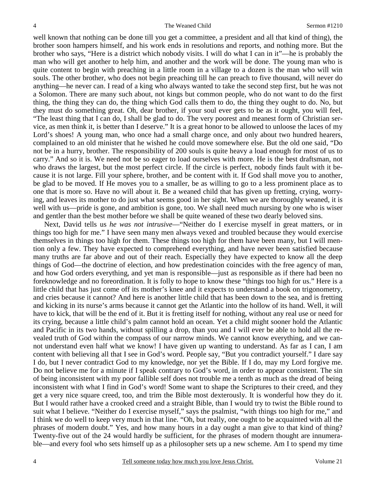well known that nothing can be done till you get a committee, a president and all that kind of thing), the brother soon hampers himself, and his work ends in resolutions and reports, and nothing more. But the brother who says, "Here is a district which nobody visits. I will do what I can in it"—he is probably the man who will get another to help him, and another and the work will be done. The young man who is quite content to begin with preaching in a little room in a village to a dozen is the man who will win souls. The other brother, who does not begin preaching till he can preach to five thousand, will never do anything—he never can. I read of a king who always wanted to take the second step first, but he was not a Solomon. There are many such about, not kings but common people, who do not want to do the first thing, the thing they can do, the thing which God calls them to do, the thing they ought to do. No, but they must do something great. Oh, dear brother, if your soul ever gets to be as it ought, you will feel, "The least thing that I can do, I shall be glad to do. The very poorest and meanest form of Christian service, as men think it, is better than I deserve." It is a great honor to be allowed to unloose the laces of my Lord's shoes! A young man, who once had a small charge once, and only about two hundred hearers, complained to an old minister that he wished he could move somewhere else. But the old one said, "Do not be in a hurry, brother. The responsibility of 200 souls is quite heavy a load enough for most of us to carry." And so it is. We need not be so eager to load ourselves with more. He is the best draftsman, not who draws the largest, but the most perfect circle. If the circle is perfect, nobody finds fault with it because it is not large. Fill your sphere, brother, and be content with it. If God shall move you to another, be glad to be moved. If He moves you to a smaller, be as willing to go to a less prominent place as to one that is more so. Have no will about it. Be a weaned child that has given up fretting, crying, worrying, and leaves its mother to do just what seems good in her sight. When we are thoroughly weaned, it is well with us—pride is gone, and ambition is gone, too. We shall need much nursing by one who is wiser and gentler than the best mother before we shall be quite weaned of these two dearly beloved sins.

Next, David tells us *he was not intrusive*—"Neither do I exercise myself in great matters, or in things too high for me." I have seen many men always vexed and troubled because they would exercise themselves in things too high for them. These things too high for them have been many, but I will mention only a few. They have expected to comprehend everything, and have never been satisfied because many truths are far above and out of their reach. Especially they have expected to know all the deep things of God—the doctrine of election, and how predestination coincides with the free agency of man, and how God orders everything, and yet man is responsible—just as responsible as if there had been no foreknowledge and no foreordination. It is folly to hope to know these "things too high for us." Here is a little child that has just come off its mother's knee and it expects to understand a book on trigonometry, and cries because it cannot? And here is another little child that has been down to the sea, and is fretting and kicking in its nurse's arms because it cannot get the Atlantic into the hollow of its hand. Well, it will have to kick, that will be the end of it. But it is fretting itself for nothing, without any real use or need for its crying, because a little child's palm cannot hold an ocean. Yet a child might sooner hold the Atlantic and Pacific in its two hands, without spilling a drop, than you and I will ever be able to hold all the revealed truth of God within the compass of our narrow minds. We cannot know everything, and we cannot understand even half what we know! I have given up wanting to understand. As far as I can, I am content with believing all that I see in God's word. People say, "But you contradict yourself." I dare say I do, but I never contradict God to my knowledge, nor yet the Bible. If I do, may my Lord forgive me. Do not believe me for a minute if I speak contrary to God's word, in order to appear consistent. The sin of being inconsistent with my poor fallible self does not trouble me a tenth as much as the dread of being inconsistent with what I find in God's word! Some want to shape the Scriptures to their creed, and they get a very nice square creed, too, and trim the Bible most dexterously. It is wonderful how they do it. But I would rather have a crooked creed and a straight Bible, than I would try to twist the Bible round to suit what I believe. "Neither do I exercise myself," says the psalmist, "with things too high for me," and I think we do well to keep very much in that line. "Oh, but really, one ought to be acquainted with all the phrases of modern doubt." Yes, and how many hours in a day ought a man give to that kind of thing? Twenty-five out of the 24 would hardly be sufficient, for the phrases of modern thought are innumerable—and every fool who sets himself up as a philosopher sets up a new scheme. Am I to spend my time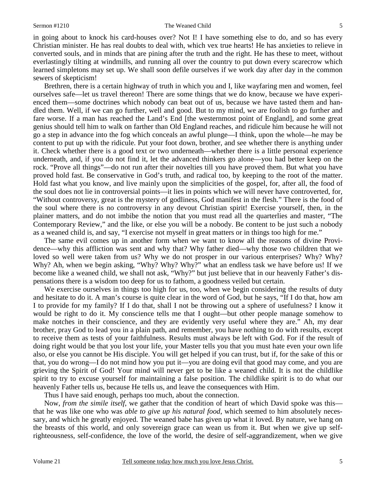in going about to knock his card-houses over? Not I! I have something else to do, and so has every Christian minister. He has real doubts to deal with, which vex true hearts! He has anxieties to relieve in converted souls, and in minds that are pining after the truth and the right. He has these to meet, without everlastingly tilting at windmills, and running all over the country to put down every scarecrow which learned simpletons may set up. We shall soon defile ourselves if we work day after day in the common sewers of skepticism!

Brethren, there is a certain highway of truth in which you and I, like wayfaring men and women, feel ourselves safe—let us travel thereon! There are some things that we do know, because we have experienced them—some doctrines which nobody can beat out of us, because we have tasted them and handled them. Well, if we can go further, well and good. But to my mind, we are foolish to go further and fare worse. If a man has reached the Land's End [the westernmost point of England], and some great genius should tell him to walk on farther than Old England reaches, and ridicule him because he will not go a step in advance into the fog which conceals an awful plunge—I think, upon the whole—he may be content to put up with the ridicule. Put your foot down, brother, and see whether there is anything under it. Check whether there is a good text or two underneath—whether there is a little personal experience underneath, and, if you do not find it, let the advanced thinkers go alone—you had better keep on the rock. "Prove all things"—do not run after their novelties till you have proved them. But what you have proved hold fast. Be conservative in God's truth, and radical too, by keeping to the root of the matter. Hold fast what you know, and live mainly upon the simplicities of the gospel, for, after all, the food of the soul does not lie in controversial points—it lies in points which we will never have controverted, for, "Without controversy, great is the mystery of godliness, God manifest in the flesh." There is the food of the soul where there is no controversy in any devout Christian spirit! Exercise yourself, then, in the plainer matters, and do not imbibe the notion that you must read all the quarterlies and master, "The Contemporary Review," and the like, or else you will be a nobody. Be content to be just such a nobody as a weaned child is, and say, "I exercise not myself in great matters or in things too high for me."

The same evil comes up in another form when we want to know all the reasons of divine Providence—why this affliction was sent and why that? Why father died—why those two children that we loved so well were taken from us? Why we do not prosper in our various enterprises? Why? Why? Why? Ah, when we begin asking, "Why? Why? Why?" what an endless task we have before us! If we become like a weaned child, we shall not ask, "Why?" but just believe that in our heavenly Father's dispensations there is a wisdom too deep for us to fathom, a goodness veiled but certain.

We exercise ourselves in things too high for us, too, when we begin considering the results of duty and hesitate to do it. A man's course is quite clear in the word of God, but he says, "If I do that, how am I to provide for my family? If I do that, shall I not be throwing out a sphere of usefulness? I know it would be right to do it. My conscience tells me that I ought—but other people manage somehow to make notches in their conscience, and they are evidently very useful where they are." Ah, my dear brother, pray God to lead you in a plain path, and remember, you have nothing to do with results, except to receive them as tests of your faithfulness. Results must always be left with God. For if the result of doing right would be that you lost your life, your Master tells you that you must hate even your own life also, or else you cannot be His disciple. You will get helped if you can trust, but if, for the sake of this or that, you do wrong—I do not mind how you put it—you are doing evil that good may come, and you are grieving the Spirit of God! Your mind will never get to be like a weaned child. It is not the childlike spirit to try to excuse yourself for maintaining a false position. The childlike spirit is to do what our heavenly Father tells us, because He tells us, and leave the consequences with Him.

Thus I have said enough, perhaps too much, about the connection.

Now, *from the simile itself,* we gather that the condition of heart of which David spoke was this that he was like one who was *able to give up his natural food*, which seemed to him absolutely necessary, and which he greatly enjoyed. The weaned babe has given up what it loved. By nature, we hang on the breasts of this world, and only sovereign grace can wean us from it. But when we give up selfrighteousness, self-confidence, the love of the world, the desire of self-aggrandizement, when we give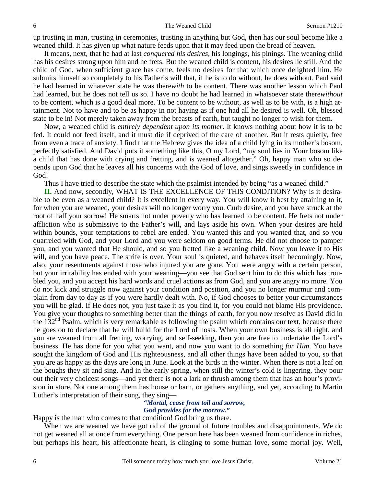up trusting in man, trusting in ceremonies, trusting in anything but God, then has our soul become like a weaned child. It has given up what nature feeds upon that it may feed upon the bread of heaven.

It means, next, that he had at last *conquered his desires*, his longings, his pinings. The weaning child has his desires strong upon him and he frets. But the weaned child is content, his desires lie still. And the child of God, when sufficient grace has come, feels no desires for that which once delighted him. He submits himself so completely to his Father's will that, if he is to do without, he does without. Paul said he had learned in whatever state he was there*with* to be content. There was another lesson which Paul had learned, but he does not tell us so. I have no doubt he had learned in whatsoever state there*without*  to be content, which is a good deal more. To be content to be without, as well as to be with, is a high attainment. Not to have and to be as happy in not having as if one had all he desired is well. Oh, blessed state to be in! Not merely taken away from the breasts of earth, but taught no longer to wish for them.

Now, a weaned child is *entirely dependent upon its mother*. It knows nothing about how it is to be fed. It could not feed itself, and it must die if deprived of the care of another. But it rests quietly, free from even a trace of anxiety. I find that the Hebrew gives the idea of a child lying in its mother's bosom, perfectly satisfied. And David puts it something like this, O my Lord, "my soul lies in Your bosom like a child that has done with crying and fretting, and is weaned altogether." Oh, happy man who so depends upon God that he leaves all his concerns with the God of love, and sings sweetly in confidence in God!

Thus I have tried to describe the state which the psalmist intended by being "as a weaned child."

**II.** And now, secondly, WHAT IS THE EXCELLENCE OF THIS CONDITION? Why is it desirable to be even as a weaned child? It is excellent in every way. You will know it best by attaining to it, for when you are weaned, your desires will no longer worry you. Curb desire, and you have struck at the root of half your sorrow! He smarts not under poverty who has learned to be content. He frets not under affliction who is submissive to the Father's will, and lays aside his own. When your desires are held within bounds, your temptations to rebel are ended. You wanted this and you wanted that, and so you quarreled with God, and your Lord and you were seldom on good terms. He did not choose to pamper you, and you wanted that He should, and so you fretted like a weaning child. Now you leave it to His will, and you have peace. The strife is over. Your soul is quieted, and behaves itself becomingly. Now, also, your resentments against those who injured you are gone. You were angry with a certain person, but your irritability has ended with your weaning—you see that God sent him to do this which has troubled you, and you accept his hard words and cruel actions as from God, and you are angry no more. You do not kick and struggle now against your condition and position, and you no longer murmur and complain from day to day as if you were hardly dealt with. No, if God chooses to better your circumstances you will be glad. If He does not, you just take it as you find it, for you could not blame His providence. You give your thoughts to something better than the things of earth, for you now resolve as David did in the  $132<sup>nd</sup>$  Psalm, which is very remarkable as following the psalm which contains our text, because there he goes on to declare that he will build for the Lord of hosts. When your own business is all right, and you are weaned from all fretting, worrying, and self-seeking, then you are free to undertake the Lord's business. He has done for you what you want, and now you want to do something *for Him*. You have sought the kingdom of God and His righteousness, and all other things have been added to you, so that you are as happy as the days are long in June. Look at the birds in the winter. When there is not a leaf on the boughs they sit and sing. And in the early spring, when still the winter's cold is lingering, they pour out their very choicest songs—and yet there is not a lark or thrush among them that has an hour's provision in store. Not one among them has house or barn, or gathers anything, and yet, according to Martin Luther's interpretation of their song, they sing—

### *"Mortal, cease from toil and sorrow,*  **God** *provides for the morrow."*

Happy is the man who comes to that condition! God bring us there.

When we are weaned we have got rid of the ground of future troubles and disappointments. We do not get weaned all at once from everything. One person here has been weaned from confidence in riches, but perhaps his heart, his affectionate heart, is clinging to some human love, some mortal joy. Well,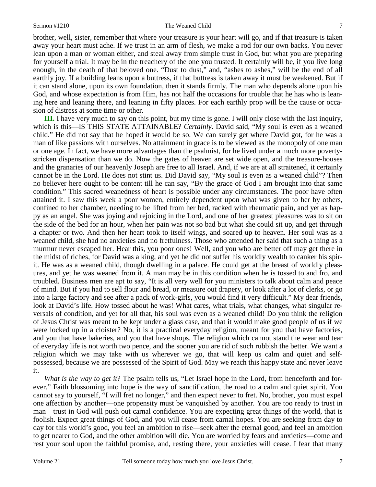brother, well, sister, remember that where your treasure is your heart will go, and if that treasure is taken away your heart must ache. If we trust in an arm of flesh, we make a rod for our own backs. You never lean upon a man or woman either, and steal away from simple trust in God, but what you are preparing for yourself a trial. It may be in the treachery of the one you trusted. It certainly will be, if you live long enough, in the death of that beloved one. "Dust to dust," and, "ashes to ashes," will be the end of all earthly joy. If a building leans upon a buttress, if that buttress is taken away it must be weakened. But if it can stand alone, upon its own foundation, then it stands firmly. The man who depends alone upon his God, and whose expectation is from Him, has not half the occasions for trouble that he has who is leaning here and leaning there, and leaning in fifty places. For each earthly prop will be the cause or occasion of distress at some time or other.

**III.** I have very much to say on this point, but my time is gone. I will only close with the last inquiry, which is this—IS THIS STATE ATTAINABLE? *Certainly*. David said, "My soul is even as a weaned child." He did not say that he hoped it would be so. We can surely get where David got, for he was a man of like passions with ourselves. No attainment in grace is to be viewed as the monopoly of one man or one age. In fact, we have more advantages than the psalmist, for he lived under a much more povertystricken dispensation than we do. Now the gates of heaven are set wide open, and the treasure-houses and the granaries of our heavenly Joseph are free to all Israel. And, if we are at all straitened, it certainly cannot be in the Lord. He does not stint us. Did David say, "My soul is even as a weaned child"? Then no believer here ought to be content till he can say, "By the grace of God I am brought into that same condition." This sacred weanedness of heart is possible under any circumstances. The poor have often attained it. I saw this week a poor women, entirely dependent upon what was given to her by others, confined to her chamber, needing to be lifted from her bed, racked with rheumatic pain, and yet as happy as an angel. She was joying and rejoicing in the Lord, and one of her greatest pleasures was to sit on the side of the bed for an hour, when her pain was not so bad but what she could sit up, and get through a chapter or two. And then her heart took to itself wings, and soared up to heaven. Her soul was as a weaned child, she had no anxieties and no fretfulness. Those who attended her said that such a thing as a murmur never escaped her. Hear this, you poor ones! Well, and you who are better off may get there in the midst of riches, for David was a king, and yet he did not suffer his worldly wealth to canker his spirit. He was as a weaned child, though dwelling in a palace. He could get at the breast of worldly pleasures, and yet he was weaned from it. A man may be in this condition when he is tossed to and fro, and troubled. Business men are apt to say, "It is all very well for you ministers to talk about calm and peace of mind. But if you had to sell flour and bread, or measure out drapery, or look after a lot of clerks, or go into a large factory and see after a pack of work-girls, you would find it very difficult." My dear friends, look at David's life. How tossed about he was! What cares, what trials, what changes, what singular reversals of condition, and yet for all that, his soul was even as a weaned child! Do you think the religion of Jesus Christ was meant to be kept under a glass case, and that it would make good people of us if we were locked up in a cloister? No, it is a practical everyday religion, meant for you that have factories, and you that have bakeries, and you that have shops. The religion which cannot stand the wear and tear of everyday life is not worth two pence, and the sooner you are rid of such rubbish the better. We want a religion which we may take with us wherever we go, that will keep us calm and quiet and selfpossessed, because we are possessed of the Spirit of God. May we reach this happy state and never leave it.

*What is the way to get it*? The psalm tells us, "Let Israel hope in the Lord, from henceforth and forever." Faith blossoming into hope is the way of sanctification, the road to a calm and quiet spirit. You cannot say to yourself, "I will fret no longer," and then expect never to fret. No, brother, you must expel one affection by another—one propensity must be vanquished by another. You are too ready to trust in man—trust in God will push out carnal confidence. You are expecting great things of the world, that is foolish. Expect great things of God, and you will cease from carnal hopes. You are seeking from day to day for this world's good, you feel an ambition to rise—seek after the eternal good, and feel an ambition to get nearer to God, and the other ambition will die. You are worried by fears and anxieties—come and rest your soul upon the faithful promise, and, resting there, your anxieties will cease. I fear that many